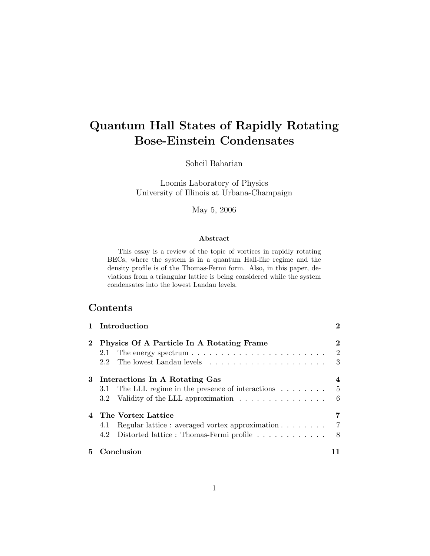# Quantum Hall States of Rapidly Rotating Bose-Einstein Condensates

Soheil Baharian

Loomis Laboratory of Physics University of Illinois at Urbana-Champaign

May 5, 2006

#### Abstract

This essay is a review of the topic of vortices in rapidly rotating BECs, where the system is in a quantum Hall-like regime and the density profile is of the Thomas-Fermi form. Also, in this paper, deviations from a triangular lattice is being considered while the system condensates into the lowest Landau levels.

# Contents

|          | 1 Introduction                                                                                                                                             | $\bf{2}$                   |
|----------|------------------------------------------------------------------------------------------------------------------------------------------------------------|----------------------------|
| $\bf{2}$ | Physics Of A Particle In A Rotating Frame<br>The energy spectrum $\ldots \ldots \ldots \ldots \ldots \ldots \ldots$<br>2.1                                 | 2<br>$\overline{2}$<br>- 3 |
|          | 3 Interactions In A Rotating Gas<br>3.1 The LLL regime in the presence of interactions $\dots \dots$<br>3.2 Validity of the LLL approximation              | 4<br>- 6                   |
|          | 4 The Vortex Lattice<br>Regular lattice : averaged vortex approximation $\ldots \ldots \ldots$ 7<br>4.1<br>Distorted lattice : Thomas-Fermi profile<br>4.2 | - 8                        |
| 5.       | Conclusion                                                                                                                                                 | 11                         |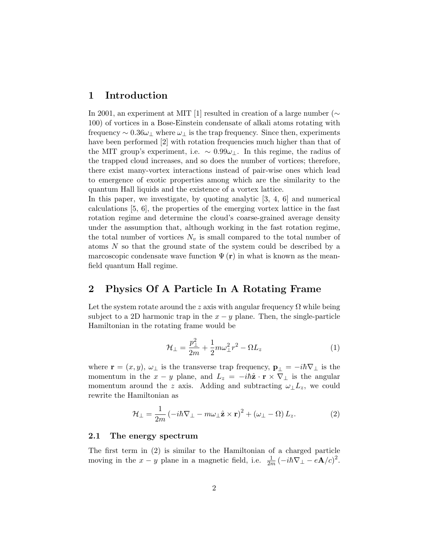# 1 Introduction

In 2001, an experiment at MIT [1] resulted in creation of a large number (∼ 100) of vortices in a Bose-Einstein condensate of alkali atoms rotating with frequency  $\sim 0.36\omega_{\perp}$  where  $\omega_{\perp}$  is the trap frequency. Since then, experiments have been performed [2] with rotation frequencies much higher than that of the MIT group's experiment, i.e.  $\sim 0.99\omega_{\perp}$ . In this regime, the radius of the trapped cloud increases, and so does the number of vortices; therefore, there exist many-vortex interactions instead of pair-wise ones which lead to emergence of exotic properties among which are the similarity to the quantum Hall liquids and the existence of a vortex lattice.

In this paper, we investigate, by quoting analytic  $[3, 4, 6]$  and numerical calculations [5, 6], the properties of the emerging vortex lattice in the fast rotation regime and determine the cloud's coarse-grained average density under the assumption that, although working in the fast rotation regime, the total number of vortices  $N_v$  is small compared to the total number of atoms N so that the ground state of the system could be described by a marcoscopic condensate wave function  $\Psi(\mathbf{r})$  in what is known as the meanfield quantum Hall regime.

# 2 Physics Of A Particle In A Rotating Frame

Let the system rotate around the z axis with angular frequency  $\Omega$  while being subject to a 2D harmonic trap in the  $x - y$  plane. Then, the single-particle Hamiltonian in the rotating frame would be

$$
\mathcal{H}_{\perp} = \frac{p_{\perp}^2}{2m} + \frac{1}{2}m\omega_{\perp}^2 r^2 - \Omega L_z \tag{1}
$$

where  $\mathbf{r} = (x, y), \omega_{\perp}$  is the transverse trap frequency,  $\mathbf{p}_{\perp} = -i\hbar \nabla_{\perp}$  is the momentum in the  $x - y$  plane, and  $L_z = -i\hbar\hat{\mathbf{z}} \cdot \mathbf{r} \times \nabla_{\perp}$  is the angular momentum around the z axis. Adding and subtracting  $\omega_{\perp}L_z$ , we could rewrite the Hamiltonian as

$$
\mathcal{H}_{\perp} = \frac{1}{2m} \left( -i\hbar \nabla_{\perp} - m\omega_{\perp} \hat{\mathbf{z}} \times \mathbf{r} \right)^2 + \left( \omega_{\perp} - \Omega \right) L_z. \tag{2}
$$

#### 2.1 The energy spectrum

The first term in (2) is similar to the Hamiltonian of a charged particle moving in the  $x - y$  plane in a magnetic field, i.e.  $\frac{1}{2m}(-i\hbar\nabla_{\perp} - e\mathbf{A}/c)^2$ .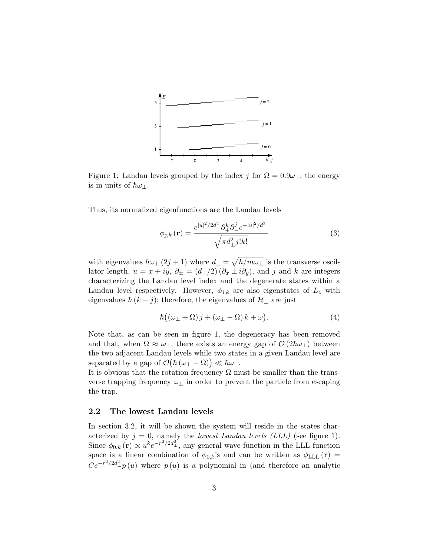

Figure 1: Landau levels grouped by the index j for  $\Omega = 0.9\omega_1$ ; the energy is in units of  $\hbar\omega_\perp$ .

Thus, its normalized eigenfunctions are the Landau levels

$$
\phi_{j,k}(\mathbf{r}) = \frac{e^{|u|^2/2d_{\perp}^2} \partial_{+}^k \partial_{-}^j e^{-|u|^2/d_{\perp}^2}}{\sqrt{\pi d_{\perp}^2 j! k!}} \tag{3}
$$

with eigenvalues  $\hbar\omega_{\perp}(2j+1)$  where  $d_{\perp} = \sqrt{\hbar/m\omega_{\perp}}$  is the transverse oscillator length,  $u = x + iy$ ,  $\partial_{\pm} = (d_{\perp}/2) (\partial_x \pm i \partial_y)$ , and j and k are integers characterizing the Landau level index and the degenerate states within a Landau level respectively. However,  $\phi_{j,k}$  are also eigenstates of  $L_z$  with eigenvalues  $\hbar (k - j)$ ; therefore, the eigenvalues of  $\mathcal{H}_{\perp}$  are just

$$
\hbar\big((\omega_{\perp}+\Omega)\,j+(\omega_{\perp}-\Omega)\,k+\omega\big). \tag{4}
$$

Note that, as can be seen in figure 1, the degeneracy has been removed and that, when  $\Omega \approx \omega_{\perp}$ , there exists an energy gap of  $\mathcal{O}(2\hbar\omega_{\perp})$  between the two adjacent Landau levels while two states in a given Landau level are separated by a gap of  $\mathcal{O}(\hbar(\omega_{\perp} - \Omega)) \ll \hbar \omega_{\perp}$ .

It is obvious that the rotation frequency  $\Omega$  must be smaller than the transverse trapping frequency  $\omega_{\perp}$  in order to prevent the particle from escaping the trap.

#### 2.2 The lowest Landau levels

In section 3.2, it will be shown the system will reside in the states characterized by  $j = 0$ , namely the *lowest Landau levels (LLL)* (see figure 1). Since  $\phi_{0,k}(\mathbf{r}) \propto u^k e^{-r^2/2d_{\perp}^2}$ , any general wave function in the LLL function space is a linear combination of  $\phi_{0,k}$ 's and can be written as  $\phi_{\text{LLL}}(\mathbf{r})$  =  $Ce^{-r^2/2d_{\perp}^2}p(u)$  where  $p(u)$  is a polynomial in (and therefore an analytic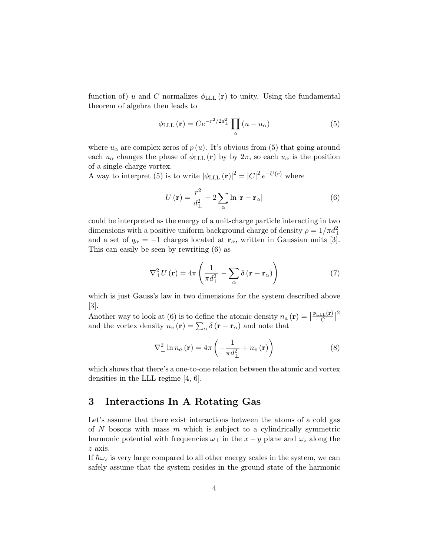function of) u and C normalizes  $\phi_{\text{LLL}}(\mathbf{r})$  to unity. Using the fundamental theorem of algebra then leads to

$$
\phi_{\text{LLL}}\left(\mathbf{r}\right) = Ce^{-r^2/2d_{\perp}^2} \prod_{\alpha} \left(u - u_{\alpha}\right) \tag{5}
$$

where  $u_{\alpha}$  are complex zeros of  $p(u)$ . It's obvious from (5) that going around each  $u_{\alpha}$  changes the phase of  $\phi_{\text{LLL}}(\mathbf{r})$  by by  $2\pi$ , so each  $u_{\alpha}$  is the position of a single-charge vortex.

A way to interpret (5) is to write  $|\phi_{\text{LLL}}(\mathbf{r})|^2 = |C|^2 e^{-U(\mathbf{r})}$  where

$$
U\left(\mathbf{r}\right) = \frac{r^2}{d_{\perp}^2} - 2\sum_{\alpha} \ln|\mathbf{r} - \mathbf{r}_{\alpha}| \tag{6}
$$

could be interpreted as the energy of a unit-charge particle interacting in two dimensions with a positive uniform background charge of density  $\rho = 1/\pi d_{\perp}^2$ and a set of  $q_{\alpha} = -1$  charges located at  $\mathbf{r}_{\alpha}$ , written in Gaussian units [3]. This can easily be seen by rewriting (6) as

$$
\nabla_{\perp}^{2} U(\mathbf{r}) = 4\pi \left( \frac{1}{\pi d_{\perp}^{2}} - \sum_{\alpha} \delta (\mathbf{r} - \mathbf{r}_{\alpha}) \right)
$$
(7)

which is just Gauss's law in two dimensions for the system described above [3].

Another way to look at (6) is to define the atomic density  $n_a(\mathbf{r}) = |$  $\phi_{\rm LLL}({\bf r})$  $\frac{C}{C}$ 2 and the vortex density  $n_v(\mathbf{r}) = \sum_{\alpha} \delta(\mathbf{r} - \mathbf{r}_{\alpha})$  and note that

$$
\nabla_{\perp}^{2} \ln n_a(\mathbf{r}) = 4\pi \left( -\frac{1}{\pi d_{\perp}^{2}} + n_v(\mathbf{r}) \right)
$$
 (8)

which shows that there's a one-to-one relation between the atomic and vortex densities in the LLL regime [4, 6].

# 3 Interactions In A Rotating Gas

Let's assume that there exist interactions between the atoms of a cold gas of  $N$  bosons with mass  $m$  which is subject to a cylindrically symmetric harmonic potential with frequencies  $\omega_{\perp}$  in the  $x - y$  plane and  $\omega_z$  along the z axis.

If  $\hbar\omega_z$  is very large compared to all other energy scales in the system, we can safely assume that the system resides in the ground state of the harmonic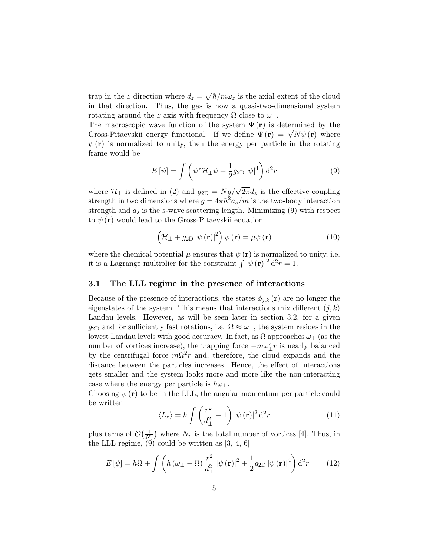trap in the z direction where  $d_z = \sqrt{\hbar/m\omega_z}$  is the axial extent of the cloud in that direction. Thus, the gas is now a quasi-two-dimensional system rotating around the z axis with frequency  $\Omega$  close to  $\omega_{\perp}$ .

The macroscopic wave function of the system  $\Psi(\mathbf{r})$  is determined by the The macroscopic wave function of the system  $\Psi(\mathbf{r})$  is determined by the Gross-Pitaevskii energy functional. If we define  $\Psi(\mathbf{r}) = \sqrt{N} \psi(\mathbf{r})$  where  $\psi(\mathbf{r})$  is normalized to unity, then the energy per particle in the rotating frame would be

$$
E\left[\psi\right] = \int \left(\psi^* \mathcal{H}_\perp \psi + \frac{1}{2} g_{2\text{D}} |\psi|^4\right) \mathrm{d}^2 r \tag{9}
$$

where  $\mathcal{H}_{\perp}$  is defined in (2) and  $g_{2D} = Ng/\sqrt{2\pi}d_z$  is the effective coupling strength in two dimensions where  $g = 4\pi \hbar^2 a_s/m$  is the two-body interaction strength and  $a_s$  is the s-wave scattering length. Minimizing (9) with respect to  $\psi(\mathbf{r})$  would lead to the Gross-Pitaevskii equation

$$
\left(\mathcal{H}_{\perp} + g_{2D} |\psi(\mathbf{r})|^2\right) \psi(\mathbf{r}) = \mu \psi(\mathbf{r}) \tag{10}
$$

where the chemical potential  $\mu$  ensures that  $\psi(\mathbf{r})$  is normalized to unity, i.e. it is a Lagrange multiplier for the constraint  $\int |\psi(\mathbf{r})|^2 d^2 r = 1$ .

#### 3.1 The LLL regime in the presence of interactions

Because of the presence of interactions, the states  $\phi_{j,k}(\mathbf{r})$  are no longer the eigenstates of the system. This means that interactions mix different  $(j, k)$ Landau levels. However, as will be seen later in section 3.2, for a given g<sub>2D</sub> and for sufficiently fast rotations, i.e.  $\Omega \approx \omega_{\perp}$ , the system resides in the lowest Landau levels with good accuracy. In fact, as  $\Omega$  approaches  $\omega_{\perp}$  (as the number of vortices increase), the trapping force  $-m\omega_{\perp}^2 r$  is nearly balanced by the centrifugal force  $m\Omega^2 r$  and, therefore, the cloud expands and the distance between the particles increases. Hence, the effect of interactions gets smaller and the system looks more and more like the non-interacting case where the energy per particle is  $\hbar\omega_\perp$ .

Choosing  $\psi(\mathbf{r})$  to be in the LLL, the angular momentum per particle could be written

$$
\langle L_z \rangle = \hbar \int \left( \frac{r^2}{d_{\perp}^2} - 1 \right) |\psi(\mathbf{r})|^2 d^2 r \tag{11}
$$

plus terms of  $\mathcal{O}(\frac{1}{N})$  $\frac{1}{N_v}$  where  $N_v$  is the total number of vortices [4]. Thus, in the LLL regime,  $(9)$  could be written as  $[3, 4, 6]$ 

$$
E\left[\psi\right] = \hbar\Omega + \int \left(\hbar\left(\omega_{\perp} - \Omega\right) \frac{r^2}{d_{\perp}^2} \left|\psi\left(\mathbf{r}\right)\right|^2 + \frac{1}{2} g_{2\text{D}} \left|\psi\left(\mathbf{r}\right)\right|^4\right) d^2r \tag{12}
$$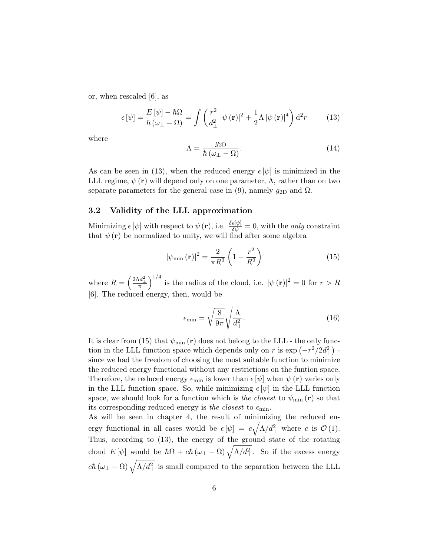or, when rescaled [6], as

$$
\epsilon \left[\psi\right] = \frac{E\left[\psi\right] - \hbar\Omega}{\hbar \left(\omega_{\perp} - \Omega\right)} = \int \left(\frac{r^2}{d_{\perp}^2} \left|\psi\left(\mathbf{r}\right)\right|^2 + \frac{1}{2}\Lambda \left|\psi\left(\mathbf{r}\right)\right|^4\right) d^2r \tag{13}
$$

where

$$
\Lambda = \frac{g_{2D}}{\hbar \left(\omega_{\perp} - \Omega\right)}.\tag{14}
$$

As can be seen in (13), when the reduced energy  $\epsilon[\psi]$  is minimized in the LLL regime,  $\psi(\mathbf{r})$  will depend only on one parameter,  $\Lambda$ , rather than on two separate parameters for the general case in (9), namely  $g_{2D}$  and  $\Omega$ .

#### 3.2 Validity of the LLL approximation

Minimizing  $\epsilon [\psi]$  with respect to  $\psi (\mathbf{r})$ , i.e.  $\frac{\delta \epsilon [\psi]}{\delta \psi} = 0$ , with the *only* constraint that  $\psi(\mathbf{r})$  be normalized to unity, we will find after some algebra

$$
|\psi_{\min}(\mathbf{r})|^2 = \frac{2}{\pi R^2} \left(1 - \frac{r^2}{R^2}\right) \tag{15}
$$

where  $R = \left(\frac{2\Lambda d_{\perp}^2}{\pi}\right)^{1/4}$  is the radius of the cloud, i.e.  $|\psi(\mathbf{r})|^2 = 0$  for  $r > R$ [6]. The reduced energy, then, would be

$$
\epsilon_{\min} = \sqrt{\frac{8}{9\pi}} \sqrt{\frac{\Lambda}{d_{\perp}^2}}.\tag{16}
$$

It is clear from (15) that  $\psi_{\text{min}}(\mathbf{r})$  does not belong to the LLL - the only function in the LLL function space which depends only on r is  $\exp(-r^2/2d_{\perp}^2)$ . since we had the freedom of choosing the most suitable function to minimize the reduced energy functional without any restrictions on the funtion space. Therefore, the reduced energy  $\epsilon_{\min}$  is lower than  $\epsilon[\psi]$  when  $\psi(\mathbf{r})$  varies only in the LLL function space. So, while minimizing  $\epsilon[\psi]$  in the LLL function space, we should look for a function which is the closest to  $\psi_{\rm min}({\bf r})$  so that its corresponding reduced energy is the closest to  $\epsilon_{\min}$ .

As will be seen in chapter 4, the result of minimizing the reduced energy functional in all cases would be  $\epsilon[\psi] = c \sqrt{\Lambda/d_{\perp}^2}$  where c is  $\mathcal{O}(1)$ . Thus, according to (13), the energy of the ground state of the rotating cloud  $E[\psi]$  would be  $\hbar\Omega + c\hbar(\omega_{\perp} - \Omega) \sqrt{\Lambda/d_{\perp}^2}$ . So if the excess energy  $c\hbar (\omega_{\perp} - \Omega) \sqrt{\Lambda/d_{\perp}^2}$  is small compared to the separation between the LLL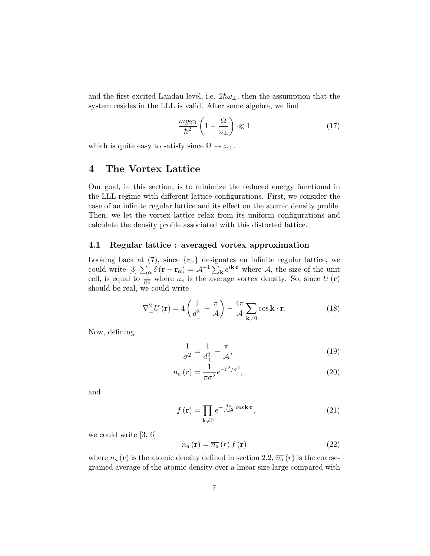and the first excited Landau level, i.e.  $2\hbar\omega_\perp$ , then the assumption that the system resides in the LLL is valid. After some algebra, we find

$$
\frac{mg_{2D}}{\hbar^2} \left(1 - \frac{\Omega}{\omega_{\perp}}\right) \ll 1\tag{17}
$$

which is quite easy to satisfy since  $\Omega \to \omega_{\perp}$ .

# 4 The Vortex Lattice

Our goal, in this section, is to minimize the reduced energy functional in the LLL regime with different lattice configurations. First, we consider the case of an infinite regular lattice and its effect on the atomic density profile. Then, we let the vortex lattice relax from its uniform configurations and calculate the density profile associated with this distorted lattice.

#### 4.1 Regular lattice : averaged vortex approximation

Looking back at (7), since  $\{r_{\alpha}\}\$  designates an infinite regular lattice, we could write  $[3]$   $\sum_{\alpha} \delta(\mathbf{r} - \mathbf{r}_{\alpha}) = A^{-1} \sum_{\mathbf{k}} e^{i\mathbf{k} \cdot \mathbf{r}}$  where A, the size of the unit cell, is equal to  $\frac{1}{n_v}$  where  $\overline{n_v}$  is the average vortex density. So, since  $U(\mathbf{r})$ should be real, we could write

$$
\nabla_{\perp}^{2} U(\mathbf{r}) = 4 \left( \frac{1}{d_{\perp}^{2}} - \frac{\pi}{\mathcal{A}} \right) - \frac{4\pi}{\mathcal{A}} \sum_{\mathbf{k} \neq 0} \cos \mathbf{k} \cdot \mathbf{r}.
$$
 (18)

Now, defining

$$
\frac{1}{\sigma^2} = \frac{1}{d_\perp^2} - \frac{\pi}{\mathcal{A}},\tag{19}
$$

$$
\overline{n_a}(r) = \frac{1}{\pi \sigma^2} e^{-r^2/\sigma^2},\tag{20}
$$

and

$$
f\left(\mathbf{r}\right) = \prod_{\mathbf{k}\neq 0} e^{-\frac{4\pi}{\mathcal{A}k^2}\cos\mathbf{k}\cdot\mathbf{r}},\tag{21}
$$

we could write [3, 6]

$$
n_a(\mathbf{r}) = \overline{n_a}(r) f(\mathbf{r})
$$
\n(22)

where  $n_a(\mathbf{r})$  is the atomic density defined in section 2.2,  $\overline{n_a}(r)$  is the coarsegrained average of the atomic density over a linear size large compared with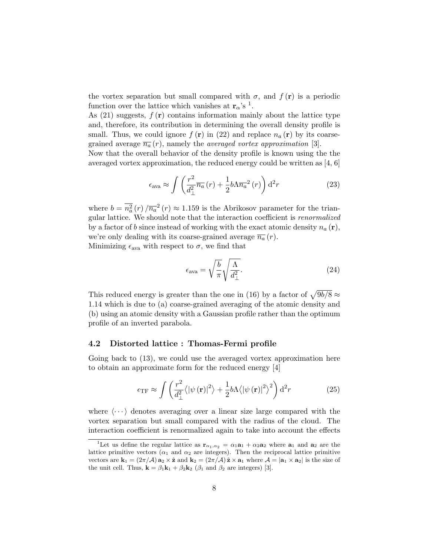the vortex separation but small compared with  $\sigma$ , and  $f(\mathbf{r})$  is a periodic function over the lattice which vanishes at  $\mathbf{r}_{\alpha}$ 's <sup>1</sup>.

As  $(21)$  suggests,  $f(\mathbf{r})$  contains information mainly about the lattice type and, therefore, its contribution in determining the overall density profile is small. Thus, we could ignore  $f(\mathbf{r})$  in (22) and replace  $n_a(\mathbf{r})$  by its coarsegrained average  $\overline{n_a}(r)$ , namely the *averaged vortex approximation* [3].

Now that the overall behavior of the density profile is known using the the averaged vortex approximation, the reduced energy could be written as  $[4, 6]$ 

$$
\epsilon_{\text{ava}} \approx \int \left( \frac{r^2}{d_{\perp}^2} \overline{n_a} \left( r \right) + \frac{1}{2} b \Lambda \overline{n_a}^2 \left( r \right) \right) d^2 r \tag{23}
$$

where  $b = \overline{n_a^2}(r) / \overline{n_a^2}(r) \approx 1.159$  is the Abrikosov parameter for the triangular lattice. We should note that the interaction coefficient is renormalized by a factor of b since instead of working with the exact atomic density  $n_a(\mathbf{r})$ , we're only dealing with its coarse-grained average  $\overline{n_a}(r)$ . Minimizing  $\epsilon_{\text{ava}}$  with respect to  $\sigma$ , we find that

$$
\epsilon_{\text{ava}} = \sqrt{\frac{b}{\pi}} \sqrt{\frac{\Lambda}{d_{\perp}^2}}.\tag{24}
$$

This reduced energy is greater than the one in (16) by a factor of  $\sqrt{9b/8} \approx$ 1.14 which is due to (a) coarse-grained averaging of the atomic density and (b) using an atomic density with a Gaussian profile rather than the optimum profile of an inverted parabola.

#### 4.2 Distorted lattice : Thomas-Fermi profile

Going back to (13), we could use the averaged vortex approximation here to obtain an approximate form for the reduced energy [4]

$$
\epsilon_{\rm TF} \approx \int \left( \frac{r^2}{d_{\perp}^2} \langle |\psi(\mathbf{r})|^2 \rangle + \frac{1}{2} b \Lambda \langle |\psi(\mathbf{r})|^2 \rangle^2 \right) d^2 r \tag{25}
$$

where  $\langle \cdots \rangle$  denotes averaging over a linear size large compared with the vortex separation but small compared with the radius of the cloud. The interaction coefficient is renormalized again to take into account the effects

<sup>&</sup>lt;sup>1</sup>Let us define the regular lattice as  $\mathbf{r}_{\alpha_1,\alpha_2} = \alpha_1 \mathbf{a}_1 + \alpha_2 \mathbf{a}_2$  where  $\mathbf{a}_1$  and  $\mathbf{a}_2$  are the lattice primitive vectors ( $\alpha_1$  and  $\alpha_2$  are integers). Then the reciprocal lattice primitive vectors are  $\mathbf{k}_1 = (2\pi/\mathcal{A}) \mathbf{a}_2 \times \hat{\mathbf{z}}$  and  $\mathbf{k}_2 = (2\pi/\mathcal{A}) \hat{\mathbf{z}} \times \mathbf{a}_1$  where  $\mathcal{A} = |\mathbf{a}_1 \times \mathbf{a}_2|$  is the size of the unit cell. Thus,  $\mathbf{k} = \beta_1 \mathbf{k}_1 + \beta_2 \mathbf{k}_2$  ( $\beta_1$  and  $\beta_2$  are integers) [3].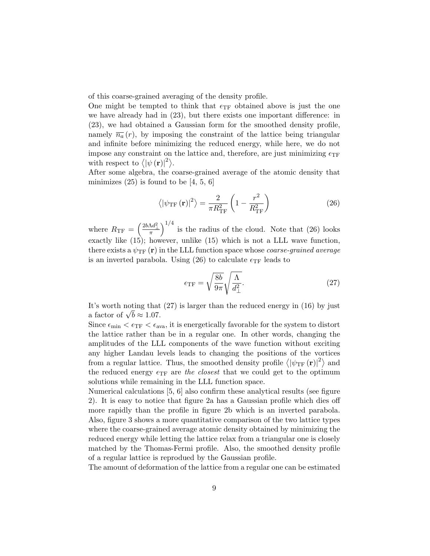of this coarse-grained averaging of the density profile.

One might be tempted to think that  $\epsilon_{\text{TF}}$  obtained above is just the one we have already had in (23), but there exists one important difference: in (23), we had obtained a Gaussian form for the smoothed density profile, namely  $\overline{n_a}(r)$ , by imposing the constraint of the lattice being triangular and infinite before minimizing the reduced energy, while here, we do not impose any constraint on the lattice and, therefore, are just minimizing  $\epsilon_{\text{TF}}$ with respect to  $\langle |\psi(\mathbf{r})|^2 \rangle$ .

After some algebra, the coarse-grained average of the atomic density that minimizes  $(25)$  is found to be [4, 5, 6]

$$
\left\langle \left| \psi_{\rm TF} \left( \mathbf{r} \right) \right|^2 \right\rangle = \frac{2}{\pi R_{\rm TF}^2} \left( 1 - \frac{r^2}{R_{\rm TF}^2} \right) \tag{26}
$$

where  $R_{\text{TF}} = \left(\frac{2b\Lambda d_{\perp}^2}{\pi}\right)^{1/4}$  is the radius of the cloud. Note that (26) looks exactly like (15); however, unlike (15) which is not a LLL wave function, there exists a  $\psi_{\rm TF}({\bf r})$  in the LLL function space whose *coarse-grained average* is an inverted parabola. Using (26) to calculate  $\epsilon_{\text{TF}}$  leads to

$$
\epsilon_{\rm TF} = \sqrt{\frac{8b}{9\pi}} \sqrt{\frac{\Lambda}{d_{\perp}^2}}.\tag{27}
$$

It's worth noting that (27) is larger than the reduced energy in (16) by just It's worth noting that<br>a factor of  $\sqrt{b} \approx 1.07$ .

Since  $\epsilon_{\min} < \epsilon_{\text{TF}} < \epsilon_{\text{ava}}$ , it is energetically favorable for the system to distort the lattice rather than be in a regular one. In other words, changing the amplitudes of the LLL components of the wave function without exciting any higher Landau levels leads to changing the positions of the vortices from a regular lattice. Thus, the smoothed density profile  $\langle |\psi_{TF}(\mathbf{r})|^2 \rangle$  and the reduced energy  $\epsilon_{\text{TF}}$  are the closest that we could get to the optimum solutions while remaining in the LLL function space.

Numerical calculations [5, 6] also confirm these analytical results (see figure 2). It is easy to notice that figure 2a has a Gaussian profile which dies off more rapidly than the profile in figure 2b which is an inverted parabola. Also, figure 3 shows a more quantitative comparison of the two lattice types where the coarse-grained average atomic density obtained by minimizing the reduced energy while letting the lattice relax from a triangular one is closely matched by the Thomas-Fermi profile. Also, the smoothed density profile of a regular lattice is reprodued by the Gaussian profile.

The amount of deformation of the lattice from a regular one can be estimated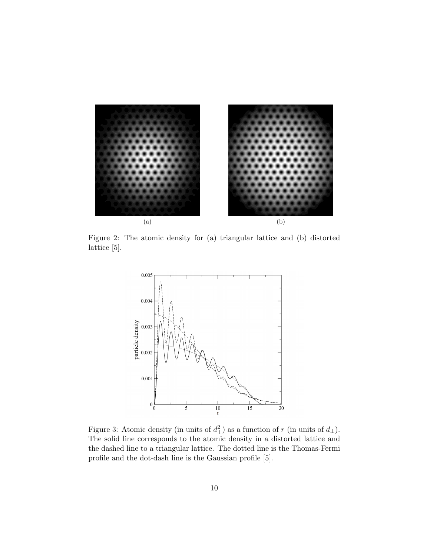

Figure 2: The atomic density for (a) triangular lattice and (b) distorted lattice [5].



Figure 3: Atomic density (in units of  $d_{\perp}^2$ ) as a function of r (in units of  $d_{\perp}$ ). The solid line corresponds to the atomic density in a distorted lattice and the dashed line to a triangular lattice. The dotted line is the Thomas-Fermi profile and the dot-dash line is the Gaussian profile [5].